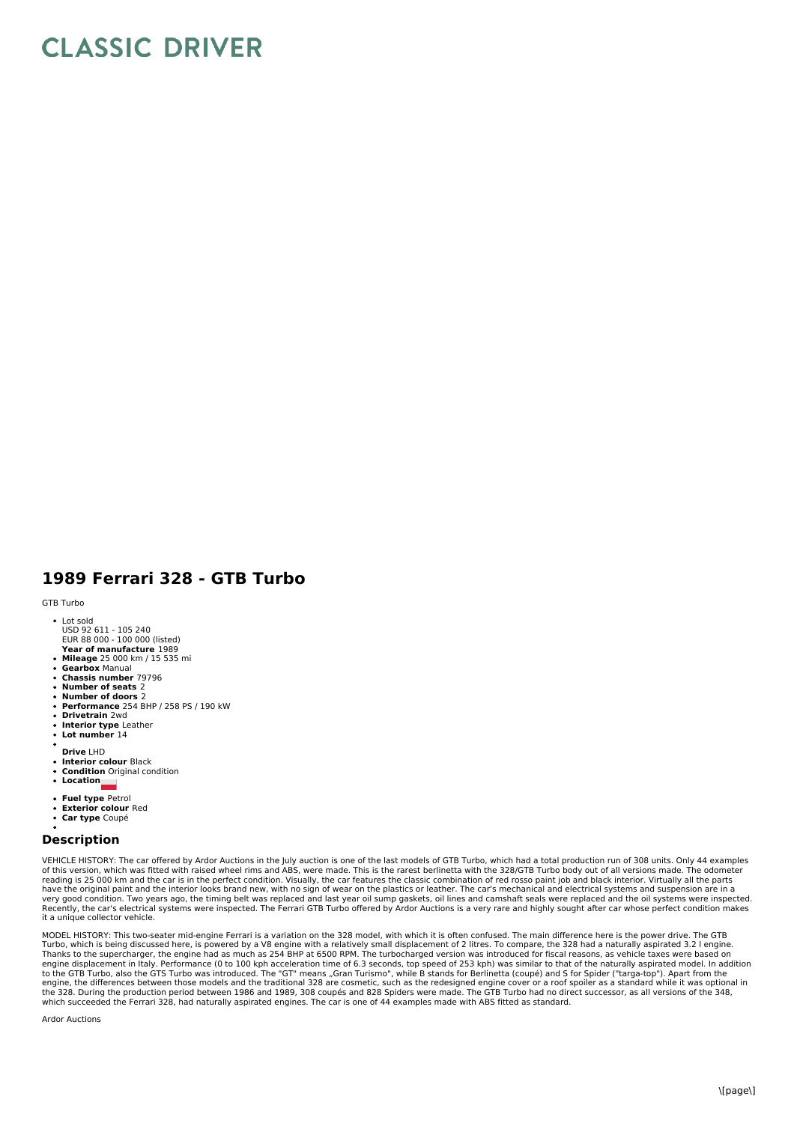## **CLASSIC DRIVER**

## **1989 Ferrari 328 - GTB Turbo**

GTB Turbo

- **Year of manufacture** 1989 Lot sold USD 92 611 - 105 240 EUR 88 000 - 100 000 (listed)
- **Mileage** 25 000 km / 15 535 mi
- **Gearbox** Manual
- **Chassis number** 79796
- **Number of seats** 2 **Number of doors** 2
- **Performance** 254 BHP / 258 PS / 190 kW
- **Drivetrain** 2wd
- $\ddot{\phantom{0}}$ **Interior type** Leather
- **Lot number** 14
- **Drive** LHD
- 
- **Interior colour** Black **Condition** Original condition
- **Location**
- **Fuel type** Petrol
- **Exterior colour** Red
- $\bullet$ **Car type** Coupé

## **Description**

VEHICLE HISTORY: The car offered by Ardor Auctions in the July auction is one of the last models of GTB Turbo, which had a total production run of 308 units. Only 44 examples<br>of this version, which was fitted with raised w have the original paint and the interior looks brand new, with no sign of wear on the plastics or leather. The car's mechanical and electrical systems and suspension are in a<br>very good condition. Two years ago, the timing it a unique collector vehicle.

MODEL HISTORY: This two-seater mid-engine Ferrari is a variation on the 328 model, with which it is often confused. The main difference here is the power drive. The GTB Turbo, which is being discussed here, is powered by a V8 engine with a relatively small displacement of 2 litres. To compare, the 328 had a naturally aspirated 3.2 l engine.<br>Thanks to the supercharger, the engine had as mu engine, the differences between those models and the traditional 328 are cosmetic, such as the redesigned engine cover or a roof spoiler as a standard while it was optional in<br>the 328. During the production period between which succeeded the Ferrari 328, had naturally aspirated engines. The car is one of 44 examples made with ABS fitted as standard.

Ardor Auctions